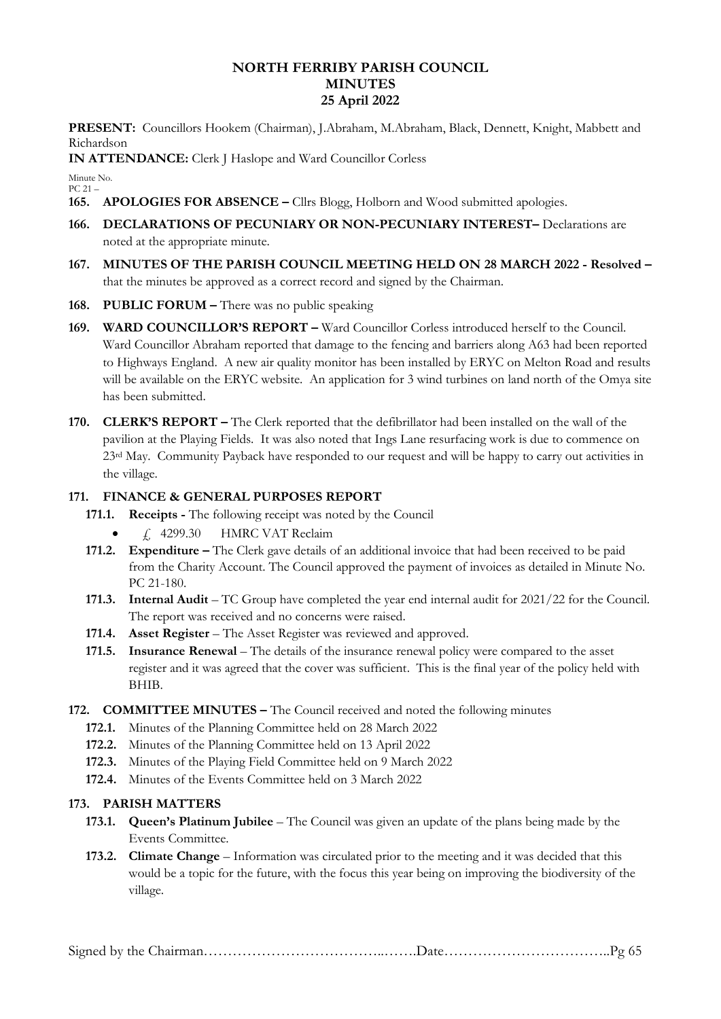# **NORTH FERRIBY PARISH COUNCIL MINUTES 25 April 2022**

**PRESENT:** Councillors Hookem (Chairman), J.Abraham, M.Abraham, Black, Dennett, Knight, Mabbett and Richardson

**IN ATTENDANCE:** Clerk J Haslope and Ward Councillor Corless

Minute No. PC 21 –

- **165. APOLOGIES FOR ABSENCE –** Cllrs Blogg, Holborn and Wood submitted apologies.
- **166. DECLARATIONS OF PECUNIARY OR NON-PECUNIARY INTEREST–** Declarations are noted at the appropriate minute.
- **167. MINUTES OF THE PARISH COUNCIL MEETING HELD ON 28 MARCH 2022 - Resolved –** that the minutes be approved as a correct record and signed by the Chairman.
- **168. PUBLIC FORUM –** There was no public speaking
- **169. WARD COUNCILLOR'S REPORT –** Ward Councillor Corless introduced herself to the Council. Ward Councillor Abraham reported that damage to the fencing and barriers along A63 had been reported to Highways England. A new air quality monitor has been installed by ERYC on Melton Road and results will be available on the ERYC website. An application for 3 wind turbines on land north of the Omya site has been submitted.
- **170. CLERK'S REPORT –** The Clerk reported that the defibrillator had been installed on the wall of the pavilion at the Playing Fields. It was also noted that Ings Lane resurfacing work is due to commence on 23<sup>rd</sup> May. Community Payback have responded to our request and will be happy to carry out activities in the village.

# **171. FINANCE & GENERAL PURPOSES REPORT**

- **171.1. Receipts -** The following receipt was noted by the Council
	- $\angle$  4299.30 HMRC VAT Reclaim
- **171.2. Expenditure –** The Clerk gave details of an additional invoice that had been received to be paid from the Charity Account. The Council approved the payment of invoices as detailed in Minute No. PC 21-180.
- **171.3. Internal Audit** TC Group have completed the year end internal audit for 2021/22 for the Council. The report was received and no concerns were raised.
- **171.4. Asset Register** The Asset Register was reviewed and approved.
- **171.5. Insurance Renewal** The details of the insurance renewal policy were compared to the asset register and it was agreed that the cover was sufficient. This is the final year of the policy held with BHIB.
- **172. COMMITTEE MINUTES –** The Council received and noted the following minutes
	- **172.1.** Minutes of the Planning Committee held on 28 March 2022
	- **172.2.** Minutes of the Planning Committee held on 13 April 2022
	- **172.3.** Minutes of the Playing Field Committee held on 9 March 2022
	- **172.4.** Minutes of the Events Committee held on 3 March 2022

### **173. PARISH MATTERS**

- **173.1. Queen's Platinum Jubilee** The Council was given an update of the plans being made by the Events Committee.
- **173.2. Climate Change** Information was circulated prior to the meeting and it was decided that this would be a topic for the future, with the focus this year being on improving the biodiversity of the village.

|--|--|--|